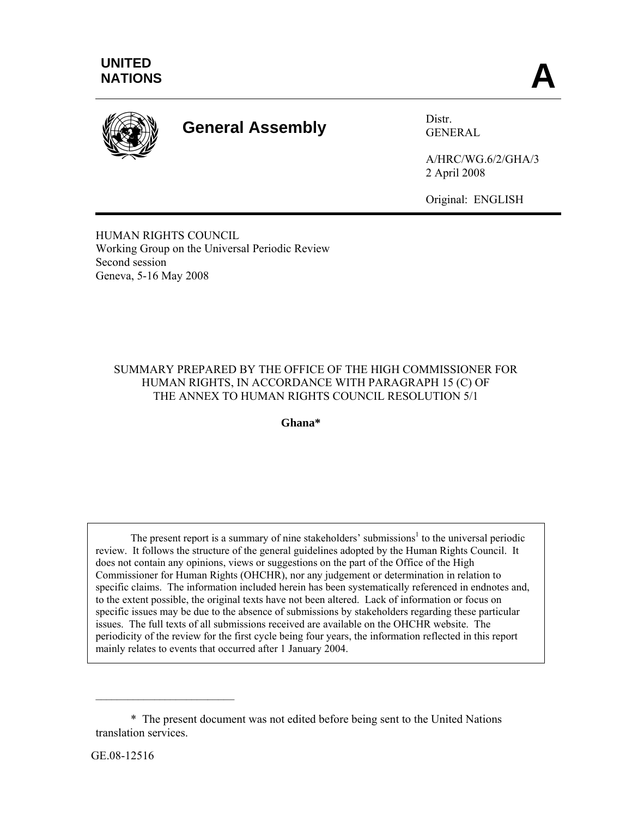

# **General Assembly** Distr.

GENERAL

A/HRC/WG.6/2/GHA/3 2 April 2008

Original: ENGLISH

HUMAN RIGHTS COUNCIL Working Group on the Universal Periodic Review Second session Geneva, 5-16 May 2008

## SUMMARY PREPARED BY THE OFFICE OF THE HIGH COMMISSIONER FOR HUMAN RIGHTS, IN ACCORDANCE WITH PARAGRAPH 15 (C) OF THE ANNEX TO HUMAN RIGHTS COUNCIL RESOLUTION 5/1

**Ghana\*** 

The present report is a summary of nine stakeholders' submissions<sup>1</sup> to the universal periodic review. It follows the structure of the general guidelines adopted by the Human Rights Council. It does not contain any opinions, views or suggestions on the part of the Office of the High Commissioner for Human Rights (OHCHR), nor any judgement or determination in relation to specific claims. The information included herein has been systematically referenced in endnotes and, to the extent possible, the original texts have not been altered. Lack of information or focus on specific issues may be due to the absence of submissions by stakeholders regarding these particular issues. The full texts of all submissions received are available on the OHCHR website. The periodicity of the review for the first cycle being four years, the information reflected in this report mainly relates to events that occurred after 1 January 2004.

 $\mathcal{L}_\text{max}$  , where  $\mathcal{L}_\text{max}$  and  $\mathcal{L}_\text{max}$ 

 <sup>\*</sup> The present document was not edited before being sent to the United Nations translation services.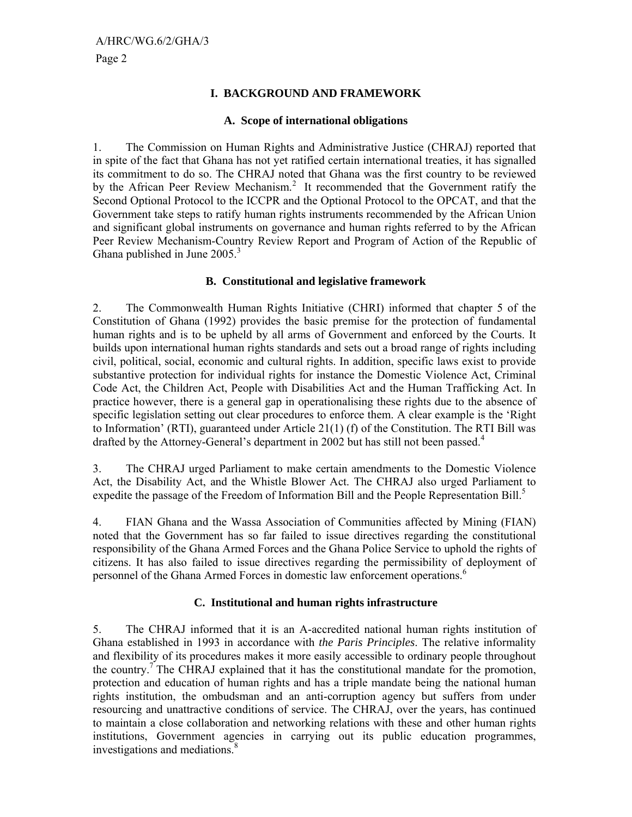## **I. BACKGROUND AND FRAMEWORK**

## **A. Scope of international obligations**

1. The Commission on Human Rights and Administrative Justice (CHRAJ) reported that in spite of the fact that Ghana has not yet ratified certain international treaties, it has signalled its commitment to do so. The CHRAJ noted that Ghana was the first country to be reviewed by the African Peer Review Mechanism.<sup>2</sup> It recommended that the Government ratify the Second Optional Protocol to the ICCPR and the Optional Protocol to the OPCAT, and that the Government take steps to ratify human rights instruments recommended by the African Union and significant global instruments on governance and human rights referred to by the African Peer Review Mechanism-Country Review Report and Program of Action of the Republic of Ghana published in June  $2005.<sup>3</sup>$ 

## **B. Constitutional and legislative framework**

2. The Commonwealth Human Rights Initiative (CHRI) informed that chapter 5 of the Constitution of Ghana (1992) provides the basic premise for the protection of fundamental human rights and is to be upheld by all arms of Government and enforced by the Courts. It builds upon international human rights standards and sets out a broad range of rights including civil, political, social, economic and cultural rights. In addition, specific laws exist to provide substantive protection for individual rights for instance the Domestic Violence Act, Criminal Code Act, the Children Act, People with Disabilities Act and the Human Trafficking Act. In practice however, there is a general gap in operationalising these rights due to the absence of specific legislation setting out clear procedures to enforce them. A clear example is the 'Right to Information' (RTI), guaranteed under Article 21(1) (f) of the Constitution. The RTI Bill was drafted by the Attorney-General's department in 2002 but has still not been passed.<sup>4</sup>

3. The CHRAJ urged Parliament to make certain amendments to the Domestic Violence Act, the Disability Act, and the Whistle Blower Act. The CHRAJ also urged Parliament to expedite the passage of the Freedom of Information Bill and the People Representation Bill.<sup>5</sup>

4. FIAN Ghana and the Wassa Association of Communities affected by Mining (FIAN) noted that the Government has so far failed to issue directives regarding the constitutional responsibility of the Ghana Armed Forces and the Ghana Police Service to uphold the rights of citizens. It has also failed to issue directives regarding the permissibility of deployment of personnel of the Ghana Armed Forces in domestic law enforcement operations.<sup>6</sup>

## **C. Institutional and human rights infrastructure**

5. The CHRAJ informed that it is an A-accredited national human rights institution of Ghana established in 1993 in accordance with *the Paris Principles*. The relative informality and flexibility of its procedures makes it more easily accessible to ordinary people throughout the country.<sup>7</sup> The CHRAJ explained that it has the constitutional mandate for the promotion, protection and education of human rights and has a triple mandate being the national human rights institution, the ombudsman and an anti-corruption agency but suffers from under resourcing and unattractive conditions of service. The CHRAJ, over the years, has continued to maintain a close collaboration and networking relations with these and other human rights institutions, Government agencies in carrying out its public education programmes, investigations and mediations.<sup>8</sup>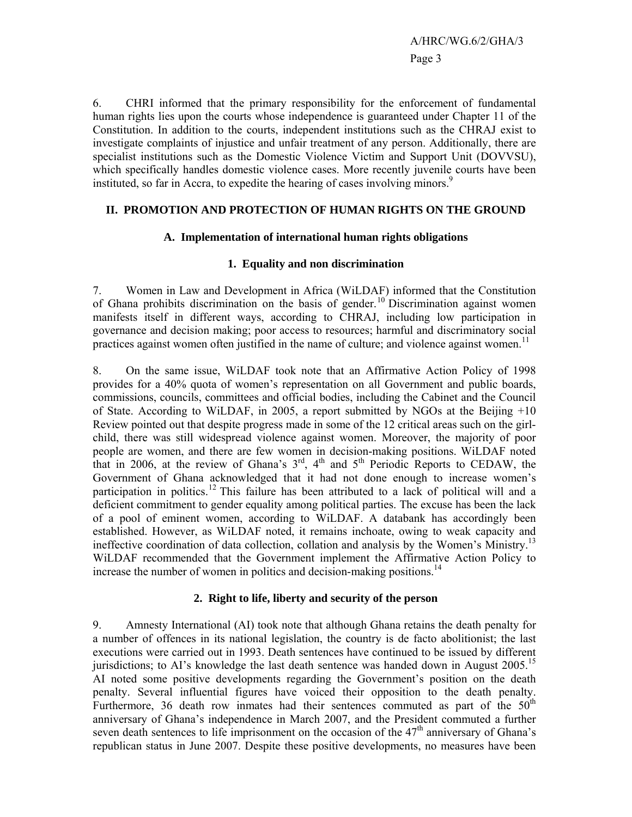6. CHRI informed that the primary responsibility for the enforcement of fundamental human rights lies upon the courts whose independence is guaranteed under Chapter 11 of the Constitution. In addition to the courts, independent institutions such as the CHRAJ exist to investigate complaints of injustice and unfair treatment of any person. Additionally, there are specialist institutions such as the Domestic Violence Victim and Support Unit (DOVVSU), which specifically handles domestic violence cases. More recently juvenile courts have been instituted, so far in Accra, to expedite the hearing of cases involving minors.<sup>9</sup>

## **II. PROMOTION AND PROTECTION OF HUMAN RIGHTS ON THE GROUND**

### **A. Implementation of international human rights obligations**

## **1. Equality and non discrimination**

7. Women in Law and Development in Africa (WiLDAF) informed that the Constitution of Ghana prohibits discrimination on the basis of gender.<sup>10</sup> Discrimination against women manifests itself in different ways, according to CHRAJ, including low participation in governance and decision making; poor access to resources; harmful and discriminatory social practices against women often justified in the name of culture; and violence against women.<sup>11</sup>

8. On the same issue, WiLDAF took note that an Affirmative Action Policy of 1998 provides for a 40% quota of women's representation on all Government and public boards, commissions, councils, committees and official bodies, including the Cabinet and the Council of State. According to WiLDAF, in 2005, a report submitted by NGOs at the Beijing +10 Review pointed out that despite progress made in some of the 12 critical areas such on the girlchild, there was still widespread violence against women. Moreover, the majority of poor people are women, and there are few women in decision-making positions. WiLDAF noted that in 2006, at the review of Ghana's 3<sup>rd</sup>, 4<sup>th</sup> and 5<sup>th</sup> Periodic Reports to CEDAW, the Government of Ghana acknowledged that it had not done enough to increase women's participation in politics.<sup>12</sup> This failure has been attributed to a lack of political will and a deficient commitment to gender equality among political parties. The excuse has been the lack of a pool of eminent women, according to WiLDAF. A databank has accordingly been established. However, as WiLDAF noted, it remains inchoate, owing to weak capacity and ineffective coordination of data collection, collation and analysis by the Women's Ministry.13 WiLDAF recommended that the Government implement the Affirmative Action Policy to increase the number of women in politics and decision-making positions.<sup>14</sup>

## **2. Right to life, liberty and security of the person**

9. Amnesty International (AI) took note that although Ghana retains the death penalty for a number of offences in its national legislation, the country is de facto abolitionist; the last executions were carried out in 1993. Death sentences have continued to be issued by different jurisdictions; to AI's knowledge the last death sentence was handed down in August 2005.<sup>15</sup> AI noted some positive developments regarding the Government's position on the death penalty. Several influential figures have voiced their opposition to the death penalty. Furthermore, 36 death row inmates had their sentences commuted as part of the  $50<sup>th</sup>$ anniversary of Ghana's independence in March 2007, and the President commuted a further seven death sentences to life imprisonment on the occasion of the  $47<sup>th</sup>$  anniversary of Ghana's republican status in June 2007. Despite these positive developments, no measures have been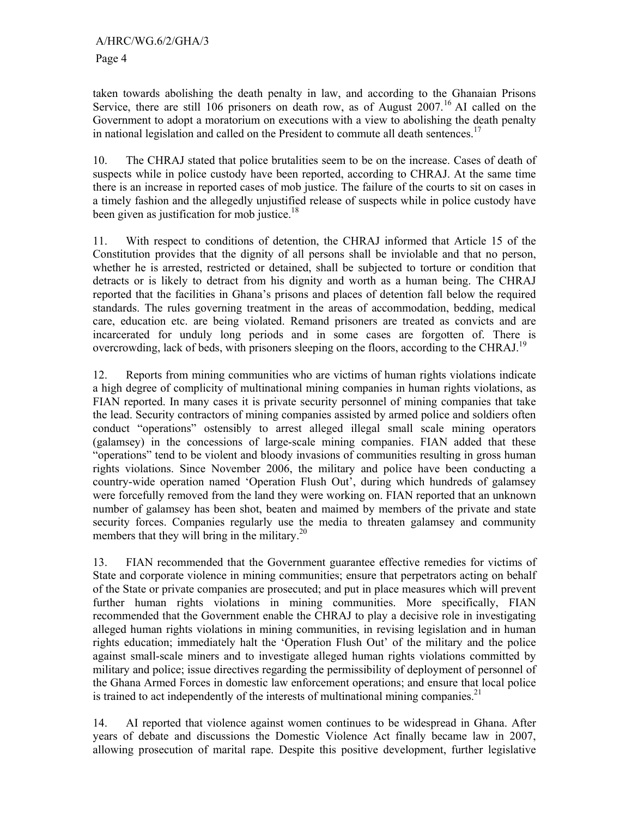taken towards abolishing the death penalty in law, and according to the Ghanaian Prisons Service, there are still 106 prisoners on death row, as of August  $2007<sup>16</sup>$  AI called on the Government to adopt a moratorium on executions with a view to abolishing the death penalty in national legislation and called on the President to commute all death sentences.<sup>17</sup>

10. The CHRAJ stated that police brutalities seem to be on the increase. Cases of death of suspects while in police custody have been reported, according to CHRAJ. At the same time there is an increase in reported cases of mob justice. The failure of the courts to sit on cases in a timely fashion and the allegedly unjustified release of suspects while in police custody have been given as justification for mob justice.<sup>18</sup>

11. With respect to conditions of detention, the CHRAJ informed that Article 15 of the Constitution provides that the dignity of all persons shall be inviolable and that no person, whether he is arrested, restricted or detained, shall be subjected to torture or condition that detracts or is likely to detract from his dignity and worth as a human being. The CHRAJ reported that the facilities in Ghana's prisons and places of detention fall below the required standards. The rules governing treatment in the areas of accommodation, bedding, medical care, education etc. are being violated. Remand prisoners are treated as convicts and are incarcerated for unduly long periods and in some cases are forgotten of. There is overcrowding, lack of beds, with prisoners sleeping on the floors, according to the CHRAJ.<sup>19</sup>

12. Reports from mining communities who are victims of human rights violations indicate a high degree of complicity of multinational mining companies in human rights violations, as FIAN reported. In many cases it is private security personnel of mining companies that take the lead. Security contractors of mining companies assisted by armed police and soldiers often conduct "operations" ostensibly to arrest alleged illegal small scale mining operators (galamsey) in the concessions of large-scale mining companies. FIAN added that these "operations" tend to be violent and bloody invasions of communities resulting in gross human rights violations. Since November 2006, the military and police have been conducting a country-wide operation named 'Operation Flush Out', during which hundreds of galamsey were forcefully removed from the land they were working on. FIAN reported that an unknown number of galamsey has been shot, beaten and maimed by members of the private and state security forces. Companies regularly use the media to threaten galamsey and community members that they will bring in the military.<sup>20</sup>

13. FIAN recommended that the Government guarantee effective remedies for victims of State and corporate violence in mining communities; ensure that perpetrators acting on behalf of the State or private companies are prosecuted; and put in place measures which will prevent further human rights violations in mining communities. More specifically, FIAN recommended that the Government enable the CHRAJ to play a decisive role in investigating alleged human rights violations in mining communities, in revising legislation and in human rights education; immediately halt the 'Operation Flush Out' of the military and the police against small-scale miners and to investigate alleged human rights violations committed by military and police; issue directives regarding the permissibility of deployment of personnel of the Ghana Armed Forces in domestic law enforcement operations; and ensure that local police is trained to act independently of the interests of multinational mining companies.<sup>21</sup>

14. AI reported that violence against women continues to be widespread in Ghana. After years of debate and discussions the Domestic Violence Act finally became law in 2007, allowing prosecution of marital rape. Despite this positive development, further legislative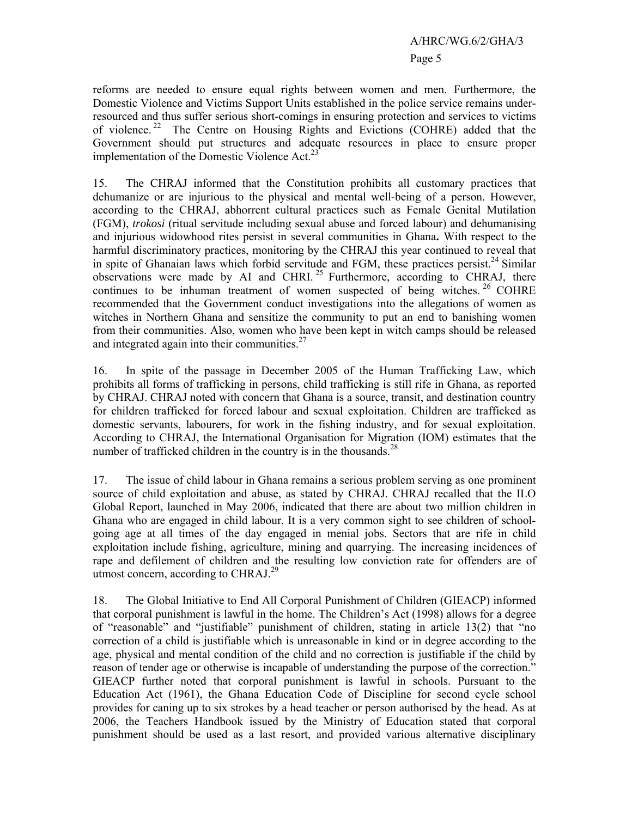# A/HRC/WG.6/2/GHA/3 Page 5

reforms are needed to ensure equal rights between women and men. Furthermore, the Domestic Violence and Victims Support Units established in the police service remains underresourced and thus suffer serious short-comings in ensuring protection and services to victims of violence. 22 The Centre on Housing Rights and Evictions (COHRE) added that the Government should put structures and adequate resources in place to ensure proper implementation of the Domestic Violence Act. $^{23}$ 

15. The CHRAJ informed that the Constitution prohibits all customary practices that dehumanize or are injurious to the physical and mental well-being of a person. However, according to the CHRAJ, abhorrent cultural practices such as Female Genital Mutilation (FGM), *trokosi* (ritual servitude including sexual abuse and forced labour) and dehumanising and injurious widowhood rites persist in several communities in Ghana**.** With respect to the harmful discriminatory practices, monitoring by the CHRAJ this year continued to reveal that in spite of Ghanaian laws which forbid servitude and FGM, these practices persist.<sup>24</sup> Similar observations were made by AI and CHRI.<sup>25</sup> Furthermore, according to CHRAJ, there continues to be inhuman treatment of women suspected of being witches.  $26$  COHRE recommended that the Government conduct investigations into the allegations of women as witches in Northern Ghana and sensitize the community to put an end to banishing women from their communities. Also, women who have been kept in witch camps should be released and integrated again into their communities.<sup>27</sup>

16. In spite of the passage in December 2005 of the Human Trafficking Law, which prohibits all forms of trafficking in persons, child trafficking is still rife in Ghana, as reported by CHRAJ. CHRAJ noted with concern that Ghana is a source, transit, and destination country for children trafficked for forced labour and sexual exploitation. Children are trafficked as domestic servants, labourers, for work in the fishing industry, and for sexual exploitation. According to CHRAJ, the International Organisation for Migration (IOM) estimates that the number of trafficked children in the country is in the thousands.<sup>28</sup>

17. The issue of child labour in Ghana remains a serious problem serving as one prominent source of child exploitation and abuse, as stated by CHRAJ. CHRAJ recalled that the ILO Global Report, launched in May 2006, indicated that there are about two million children in Ghana who are engaged in child labour. It is a very common sight to see children of schoolgoing age at all times of the day engaged in menial jobs. Sectors that are rife in child exploitation include fishing, agriculture, mining and quarrying. The increasing incidences of rape and defilement of children and the resulting low conviction rate for offenders are of utmost concern, according to CHRAJ.<sup>29</sup>

18. The Global Initiative to End All Corporal Punishment of Children (GIEACP) informed that corporal punishment is lawful in the home. The Children's Act (1998) allows for a degree of "reasonable" and "justifiable" punishment of children, stating in article 13(2) that "no correction of a child is justifiable which is unreasonable in kind or in degree according to the age, physical and mental condition of the child and no correction is justifiable if the child by reason of tender age or otherwise is incapable of understanding the purpose of the correction." GIEACP further noted that corporal punishment is lawful in schools. Pursuant to the Education Act (1961), the Ghana Education Code of Discipline for second cycle school provides for caning up to six strokes by a head teacher or person authorised by the head. As at 2006, the Teachers Handbook issued by the Ministry of Education stated that corporal punishment should be used as a last resort, and provided various alternative disciplinary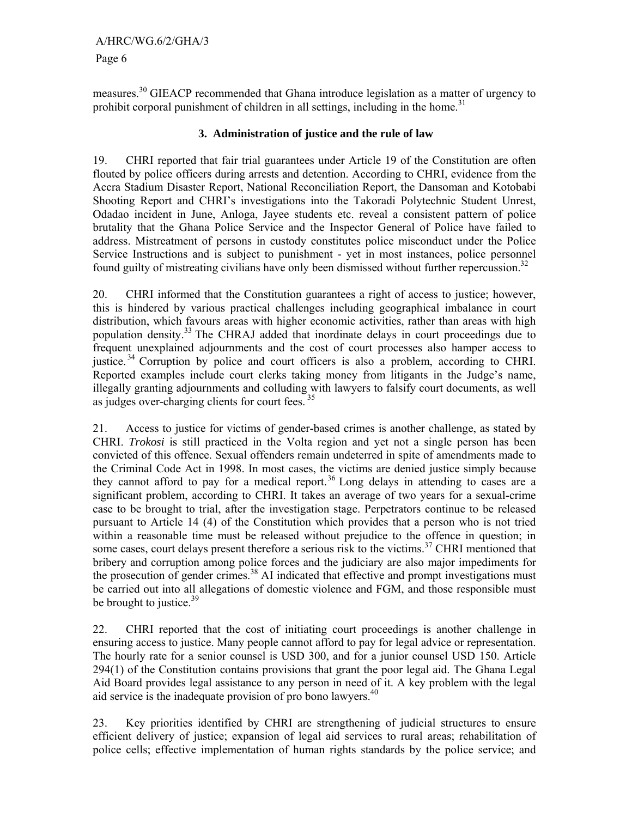measures.30 GIEACP recommended that Ghana introduce legislation as a matter of urgency to prohibit corporal punishment of children in all settings, including in the home.<sup>31</sup>

## **3. Administration of justice and the rule of law**

19. CHRI reported that fair trial guarantees under Article 19 of the Constitution are often flouted by police officers during arrests and detention. According to CHRI, evidence from the Accra Stadium Disaster Report, National Reconciliation Report, the Dansoman and Kotobabi Shooting Report and CHRI's investigations into the Takoradi Polytechnic Student Unrest, Odadao incident in June, Anloga, Jayee students etc. reveal a consistent pattern of police brutality that the Ghana Police Service and the Inspector General of Police have failed to address. Mistreatment of persons in custody constitutes police misconduct under the Police Service Instructions and is subject to punishment - yet in most instances, police personnel found guilty of mistreating civilians have only been dismissed without further repercussion.<sup>32</sup>

20. CHRI informed that the Constitution guarantees a right of access to justice; however, this is hindered by various practical challenges including geographical imbalance in court distribution, which favours areas with higher economic activities, rather than areas with high population density.<sup>33</sup> The CHRAJ added that inordinate delays in court proceedings due to frequent unexplained adjournments and the cost of court processes also hamper access to justice.<sup>34</sup> Corruption by police and court officers is also a problem, according to CHRI. Reported examples include court clerks taking money from litigants in the Judge's name, illegally granting adjournments and colluding with lawyers to falsify court documents, as well as judges over-charging clients for court fees.<sup>35</sup>

21. Access to justice for victims of gender-based crimes is another challenge, as stated by CHRI. *Trokosi* is still practiced in the Volta region and yet not a single person has been convicted of this offence. Sexual offenders remain undeterred in spite of amendments made to the Criminal Code Act in 1998. In most cases, the victims are denied justice simply because they cannot afford to pay for a medical report.<sup>36</sup> Long delays in attending to cases are a significant problem, according to CHRI. It takes an average of two years for a sexual-crime case to be brought to trial, after the investigation stage. Perpetrators continue to be released pursuant to Article 14 (4) of the Constitution which provides that a person who is not tried within a reasonable time must be released without prejudice to the offence in question; in some cases, court delays present therefore a serious risk to the victims.<sup>37</sup> CHRI mentioned that bribery and corruption among police forces and the judiciary are also major impediments for the prosecution of gender crimes.<sup>38</sup> AI indicated that effective and prompt investigations must be carried out into all allegations of domestic violence and FGM, and those responsible must be brought to justice. $39$ 

22. CHRI reported that the cost of initiating court proceedings is another challenge in ensuring access to justice. Many people cannot afford to pay for legal advice or representation. The hourly rate for a senior counsel is USD 300, and for a junior counsel USD 150. Article 294(1) of the Constitution contains provisions that grant the poor legal aid. The Ghana Legal Aid Board provides legal assistance to any person in need of it. A key problem with the legal aid service is the inadequate provision of pro bono lawyers. $40$ 

23. Key priorities identified by CHRI are strengthening of judicial structures to ensure efficient delivery of justice; expansion of legal aid services to rural areas; rehabilitation of police cells; effective implementation of human rights standards by the police service; and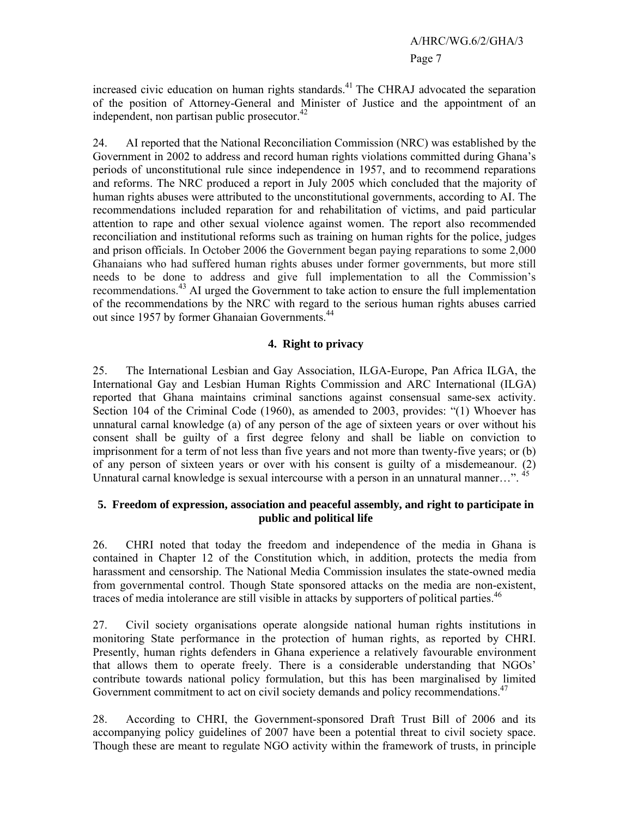increased civic education on human rights standards.<sup>41</sup> The CHRAJ advocated the separation of the position of Attorney-General and Minister of Justice and the appointment of an independent, non partisan public prosecutor. $42$ 

24. AI reported that the National Reconciliation Commission (NRC) was established by the Government in 2002 to address and record human rights violations committed during Ghana's periods of unconstitutional rule since independence in 1957, and to recommend reparations and reforms. The NRC produced a report in July 2005 which concluded that the majority of human rights abuses were attributed to the unconstitutional governments, according to AI. The recommendations included reparation for and rehabilitation of victims, and paid particular attention to rape and other sexual violence against women. The report also recommended reconciliation and institutional reforms such as training on human rights for the police, judges and prison officials. In October 2006 the Government began paying reparations to some 2,000 Ghanaians who had suffered human rights abuses under former governments, but more still needs to be done to address and give full implementation to all the Commission's recommendations.<sup>43</sup> AI urged the Government to take action to ensure the full implementation of the recommendations by the NRC with regard to the serious human rights abuses carried out since 1957 by former Ghanaian Governments.<sup>44</sup>

## **4. Right to privacy**

25. The International Lesbian and Gay Association, ILGA-Europe, Pan Africa ILGA, the International Gay and Lesbian Human Rights Commission and ARC International (ILGA) reported that Ghana maintains criminal sanctions against consensual same-sex activity. Section 104 of the Criminal Code (1960), as amended to 2003, provides: "(1) Whoever has unnatural carnal knowledge (a) of any person of the age of sixteen years or over without his consent shall be guilty of a first degree felony and shall be liable on conviction to imprisonment for a term of not less than five years and not more than twenty-five years; or (b) of any person of sixteen years or over with his consent is guilty of a misdemeanour. (2) Unnatural carnal knowledge is sexual intercourse with a person in an unnatural manner…". <sup>45</sup>

## **5. Freedom of expression, association and peaceful assembly, and right to participate in public and political life**

26. CHRI noted that today the freedom and independence of the media in Ghana is contained in Chapter 12 of the Constitution which, in addition, protects the media from harassment and censorship. The National Media Commission insulates the state-owned media from governmental control. Though State sponsored attacks on the media are non-existent, traces of media intolerance are still visible in attacks by supporters of political parties.<sup>46</sup>

27. Civil society organisations operate alongside national human rights institutions in monitoring State performance in the protection of human rights, as reported by CHRI. Presently, human rights defenders in Ghana experience a relatively favourable environment that allows them to operate freely. There is a considerable understanding that NGOs' contribute towards national policy formulation, but this has been marginalised by limited Government commitment to act on civil society demands and policy recommendations.<sup>47</sup>

28. According to CHRI, the Government-sponsored Draft Trust Bill of 2006 and its accompanying policy guidelines of 2007 have been a potential threat to civil society space. Though these are meant to regulate NGO activity within the framework of trusts, in principle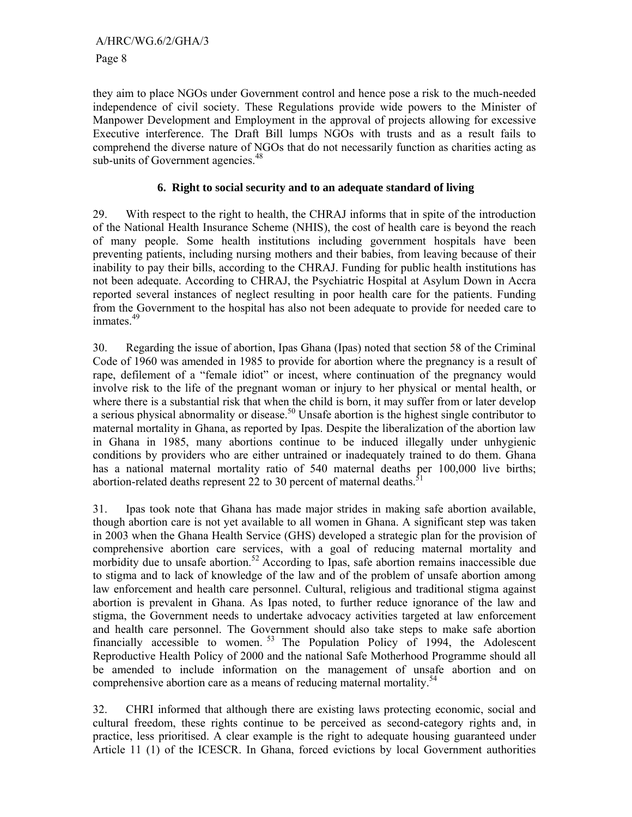they aim to place NGOs under Government control and hence pose a risk to the much-needed independence of civil society. These Regulations provide wide powers to the Minister of Manpower Development and Employment in the approval of projects allowing for excessive Executive interference. The Draft Bill lumps NGOs with trusts and as a result fails to comprehend the diverse nature of NGOs that do not necessarily function as charities acting as sub-units of Government agencies.<sup>48</sup>

## **6. Right to social security and to an adequate standard of living**

29. With respect to the right to health, the CHRAJ informs that in spite of the introduction of the National Health Insurance Scheme (NHIS), the cost of health care is beyond the reach of many people. Some health institutions including government hospitals have been preventing patients, including nursing mothers and their babies, from leaving because of their inability to pay their bills, according to the CHRAJ. Funding for public health institutions has not been adequate. According to CHRAJ, the Psychiatric Hospital at Asylum Down in Accra reported several instances of neglect resulting in poor health care for the patients. Funding from the Government to the hospital has also not been adequate to provide for needed care to inmates.<sup>49</sup>

30. Regarding the issue of abortion, Ipas Ghana (Ipas) noted that section 58 of the Criminal Code of 1960 was amended in 1985 to provide for abortion where the pregnancy is a result of rape, defilement of a "female idiot" or incest, where continuation of the pregnancy would involve risk to the life of the pregnant woman or injury to her physical or mental health, or where there is a substantial risk that when the child is born, it may suffer from or later develop a serious physical abnormality or disease.<sup>50</sup> Unsafe abortion is the highest single contributor to maternal mortality in Ghana, as reported by Ipas. Despite the liberalization of the abortion law in Ghana in 1985, many abortions continue to be induced illegally under unhygienic conditions by providers who are either untrained or inadequately trained to do them. Ghana has a national maternal mortality ratio of 540 maternal deaths per 100,000 live births; abortion-related deaths represent 22 to 30 percent of maternal deaths.<sup>5</sup>

31. Ipas took note that Ghana has made major strides in making safe abortion available, though abortion care is not yet available to all women in Ghana. A significant step was taken in 2003 when the Ghana Health Service (GHS) developed a strategic plan for the provision of comprehensive abortion care services, with a goal of reducing maternal mortality and morbidity due to unsafe abortion.<sup>52</sup> According to Ipas, safe abortion remains inaccessible due to stigma and to lack of knowledge of the law and of the problem of unsafe abortion among law enforcement and health care personnel. Cultural, religious and traditional stigma against abortion is prevalent in Ghana. As Ipas noted, to further reduce ignorance of the law and stigma, the Government needs to undertake advocacy activities targeted at law enforcement and health care personnel. The Government should also take steps to make safe abortion financially accessible to women.<sup>53</sup> The Population Policy of 1994, the Adolescent Reproductive Health Policy of 2000 and the national Safe Motherhood Programme should all be amended to include information on the management of unsafe abortion and on comprehensive abortion care as a means of reducing maternal mortality.<sup>54</sup>

32. CHRI informed that although there are existing laws protecting economic, social and cultural freedom, these rights continue to be perceived as second-category rights and, in practice, less prioritised. A clear example is the right to adequate housing guaranteed under Article 11 (1) of the ICESCR. In Ghana, forced evictions by local Government authorities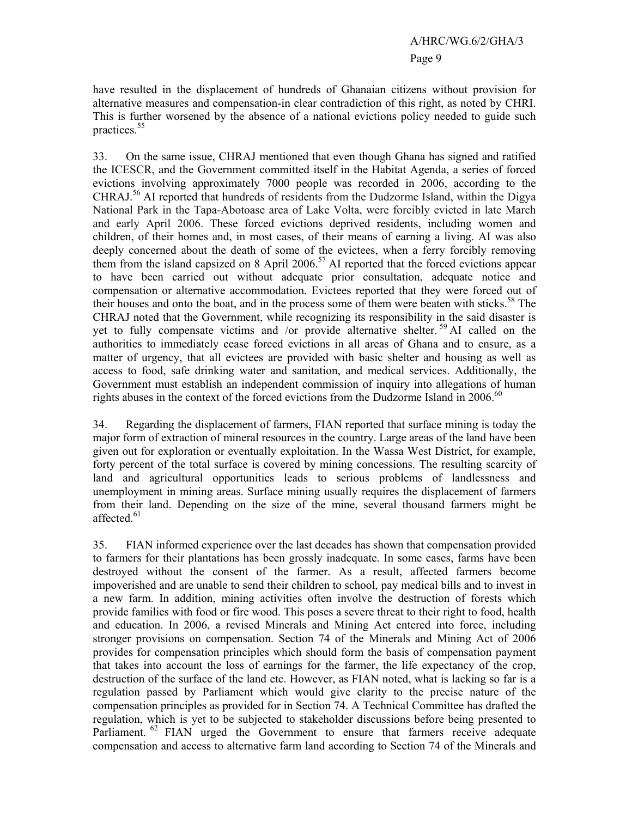have resulted in the displacement of hundreds of Ghanaian citizens without provision for alternative measures and compensation-in clear contradiction of this right, as noted by CHRI. This is further worsened by the absence of a national evictions policy needed to guide such practices.<sup>55</sup>

33. On the same issue, CHRAJ mentioned that even though Ghana has signed and ratified the ICESCR, and the Government committed itself in the Habitat Agenda, a series of forced evictions involving approximately 7000 people was recorded in 2006, according to the CHRAJ.56 AI reported that hundreds of residents from the Dudzorme Island, within the Digya National Park in the Tapa-Abotoase area of Lake Volta, were forcibly evicted in late March and early April 2006. These forced evictions deprived residents, including women and children, of their homes and, in most cases, of their means of earning a living. AI was also deeply concerned about the death of some of the evictees, when a ferry forcibly removing them from the island capsized on 8 April 2006.<sup>57</sup> AI reported that the forced evictions appear to have been carried out without adequate prior consultation, adequate notice and compensation or alternative accommodation. Evictees reported that they were forced out of their houses and onto the boat, and in the process some of them were beaten with sticks.<sup>58</sup> The CHRAJ noted that the Government, while recognizing its responsibility in the said disaster is yet to fully compensate victims and /or provide alternative shelter.<sup>59</sup> AI called on the authorities to immediately cease forced evictions in all areas of Ghana and to ensure, as a matter of urgency, that all evictees are provided with basic shelter and housing as well as access to food, safe drinking water and sanitation, and medical services. Additionally, the Government must establish an independent commission of inquiry into allegations of human rights abuses in the context of the forced evictions from the Dudzorme Island in  $2006$ .<sup>60</sup>

34. Regarding the displacement of farmers, FIAN reported that surface mining is today the major form of extraction of mineral resources in the country. Large areas of the land have been given out for exploration or eventually exploitation. In the Wassa West District, for example, forty percent of the total surface is covered by mining concessions. The resulting scarcity of land and agricultural opportunities leads to serious problems of landlessness and unemployment in mining areas. Surface mining usually requires the displacement of farmers from their land. Depending on the size of the mine, several thousand farmers might be affected.<sup>61</sup>

35. FIAN informed experience over the last decades has shown that compensation provided to farmers for their plantations has been grossly inadequate. In some cases, farms have been destroyed without the consent of the farmer. As a result, affected farmers become impoverished and are unable to send their children to school, pay medical bills and to invest in a new farm. In addition, mining activities often involve the destruction of forests which provide families with food or fire wood. This poses a severe threat to their right to food, health and education. In 2006, a revised Minerals and Mining Act entered into force, including stronger provisions on compensation. Section 74 of the Minerals and Mining Act of 2006 provides for compensation principles which should form the basis of compensation payment that takes into account the loss of earnings for the farmer, the life expectancy of the crop, destruction of the surface of the land etc. However, as FIAN noted, what is lacking so far is a regulation passed by Parliament which would give clarity to the precise nature of the compensation principles as provided for in Section 74. A Technical Committee has drafted the regulation, which is yet to be subjected to stakeholder discussions before being presented to Parliament.<sup>62</sup> FIAN urged the Government to ensure that farmers receive adequate compensation and access to alternative farm land according to Section 74 of the Minerals and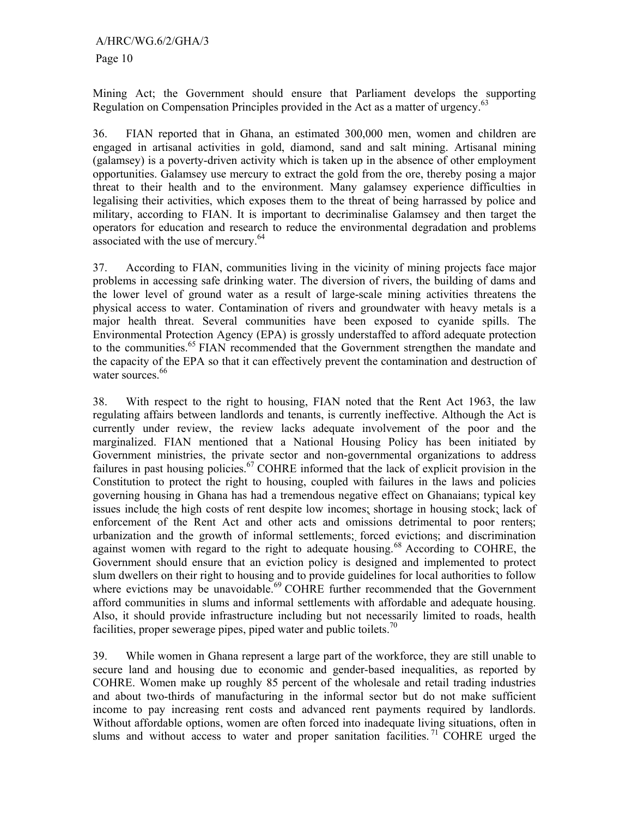Mining Act; the Government should ensure that Parliament develops the supporting Regulation on Compensation Principles provided in the Act as a matter of urgency.<sup>63</sup>

36. FIAN reported that in Ghana, an estimated 300,000 men, women and children are engaged in artisanal activities in gold, diamond, sand and salt mining. Artisanal mining (galamsey) is a poverty-driven activity which is taken up in the absence of other employment opportunities. Galamsey use mercury to extract the gold from the ore, thereby posing a major threat to their health and to the environment. Many galamsey experience difficulties in legalising their activities, which exposes them to the threat of being harrassed by police and military, according to FIAN. It is important to decriminalise Galamsey and then target the operators for education and research to reduce the environmental degradation and problems associated with the use of mercury.<sup>64</sup>

37. According to FIAN, communities living in the vicinity of mining projects face major problems in accessing safe drinking water. The diversion of rivers, the building of dams and the lower level of ground water as a result of large-scale mining activities threatens the physical access to water. Contamination of rivers and groundwater with heavy metals is a major health threat. Several communities have been exposed to cyanide spills. The Environmental Protection Agency (EPA) is grossly understaffed to afford adequate protection to the communities.<sup>65</sup> FIAN recommended that the Government strengthen the mandate and the capacity of the EPA so that it can effectively prevent the contamination and destruction of water sources.<sup>66</sup>

38. With respect to the right to housing, FIAN noted that the Rent Act 1963, the law regulating affairs between landlords and tenants, is currently ineffective. Although the Act is currently under review, the review lacks adequate involvement of the poor and the marginalized. FIAN mentioned that a National Housing Policy has been initiated by Government ministries, the private sector and non-governmental organizations to address failures in past housing policies.<sup>67</sup> COHRE informed that the lack of explicit provision in the Constitution to protect the right to housing, coupled with failures in the laws and policies governing housing in Ghana has had a tremendous negative effect on Ghanaians; typical key issues include the high costs of rent despite low incomes; shortage in housing stock; lack of enforcement of the Rent Act and other acts and omissions detrimental to poor renters; urbanization and the growth of informal settlements; forced evictions; and discrimination against women with regard to the right to adequate housing.<sup>68</sup> According to COHRE, the Government should ensure that an eviction policy is designed and implemented to protect slum dwellers on their right to housing and to provide guidelines for local authorities to follow where evictions may be unavoidable.<sup>69</sup> COHRE further recommended that the Government afford communities in slums and informal settlements with affordable and adequate housing. Also, it should provide infrastructure including but not necessarily limited to roads, health facilities, proper sewerage pipes, piped water and public toilets.<sup>70</sup>

39. While women in Ghana represent a large part of the workforce, they are still unable to secure land and housing due to economic and gender-based inequalities, as reported by COHRE. Women make up roughly 85 percent of the wholesale and retail trading industries and about two-thirds of manufacturing in the informal sector but do not make sufficient income to pay increasing rent costs and advanced rent payments required by landlords. Without affordable options, women are often forced into inadequate living situations, often in slums and without access to water and proper sanitation facilities.<sup>71</sup> COHRE urged the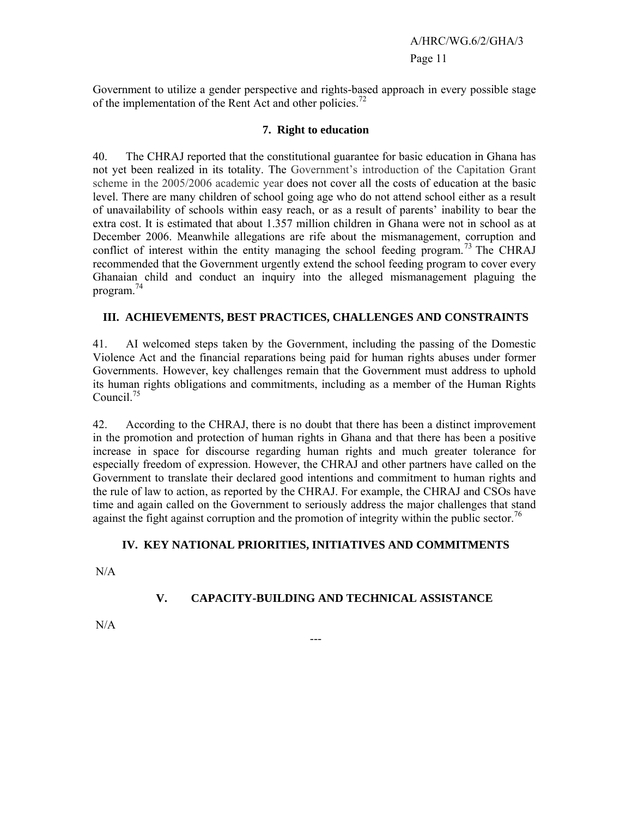Government to utilize a gender perspective and rights-based approach in every possible stage of the implementation of the Rent Act and other policies.<sup>72</sup>

## **7. Right to education**

40. The CHRAJ reported that the constitutional guarantee for basic education in Ghana has not yet been realized in its totality. The Government's introduction of the Capitation Grant scheme in the 2005/2006 academic year does not cover all the costs of education at the basic level. There are many children of school going age who do not attend school either as a result of unavailability of schools within easy reach, or as a result of parents' inability to bear the extra cost. It is estimated that about 1.357 million children in Ghana were not in school as at December 2006. Meanwhile allegations are rife about the mismanagement, corruption and conflict of interest within the entity managing the school feeding program.<sup>73</sup> The CHRAJ recommended that the Government urgently extend the school feeding program to cover every Ghanaian child and conduct an inquiry into the alleged mismanagement plaguing the program.<sup>74</sup>

## **III. ACHIEVEMENTS, BEST PRACTICES, CHALLENGES AND CONSTRAINTS**

41. AI welcomed steps taken by the Government, including the passing of the Domestic Violence Act and the financial reparations being paid for human rights abuses under former Governments. However, key challenges remain that the Government must address to uphold its human rights obligations and commitments, including as a member of the Human Rights Council. $^{75}$ 

42. According to the CHRAJ, there is no doubt that there has been a distinct improvement in the promotion and protection of human rights in Ghana and that there has been a positive increase in space for discourse regarding human rights and much greater tolerance for especially freedom of expression. However, the CHRAJ and other partners have called on the Government to translate their declared good intentions and commitment to human rights and the rule of law to action, as reported by the CHRAJ. For example, the CHRAJ and CSOs have time and again called on the Government to seriously address the major challenges that stand against the fight against corruption and the promotion of integrity within the public sector.<sup>76</sup>

## **IV. KEY NATIONAL PRIORITIES, INITIATIVES AND COMMITMENTS**

N/A

## **V. CAPACITY-BUILDING AND TECHNICAL ASSISTANCE**

---

N/A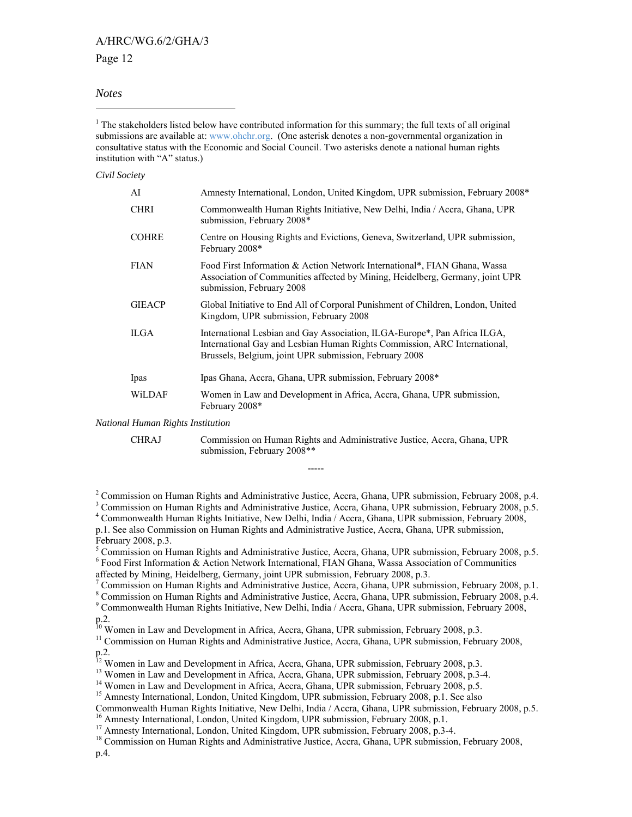### A/HRC/WG.6/2/GHA/3

#### Page 12

#### *Notes*

 $\overline{a}$ 

<sup>1</sup> The stakeholders listed below have contributed information for this summary; the full texts of all original submissions are available at: www.ohchr.org. (One asterisk denotes a non-governmental organization in consultative status with the Economic and Social Council. Two asterisks denote a national human rights institution with "A" status.)

*Civil Society* 

| AI                         | Amnesty International, London, United Kingdom, UPR submission, February 2008*                                                                                                                                    |
|----------------------------|------------------------------------------------------------------------------------------------------------------------------------------------------------------------------------------------------------------|
| <b>CHRI</b>                | Commonwealth Human Rights Initiative, New Delhi, India / Accra, Ghana, UPR<br>submission, February 2008*                                                                                                         |
| <b>COHRE</b>               | Centre on Housing Rights and Evictions, Geneva, Switzerland, UPR submission,<br>February 2008*                                                                                                                   |
| <b>FIAN</b>                | Food First Information & Action Network International*, FIAN Ghana, Wassa<br>Association of Communities affected by Mining, Heidelberg, Germany, joint UPR<br>submission, February 2008                          |
| <b>GIEACP</b>              | Global Initiative to End All of Corporal Punishment of Children, London, United<br>Kingdom, UPR submission, February 2008                                                                                        |
| <b>ILGA</b>                | International Lesbian and Gay Association, ILGA-Europe*, Pan Africa ILGA,<br>International Gay and Lesbian Human Rights Commission, ARC International,<br>Brussels, Belgium, joint UPR submission, February 2008 |
| Ipas                       | Ipas Ghana, Accra, Ghana, UPR submission, February 2008*                                                                                                                                                         |
| WiLDAF                     | Women in Law and Development in Africa, Accra, Ghana, UPR submission,<br>February 2008*                                                                                                                          |
| l Human Rights Institution |                                                                                                                                                                                                                  |

*National Human Rights Institution* 

CHRAJ Commission on Human Rights and Administrative Justice, Accra, Ghana, UPR

<sup>2</sup> Commission on Human Rights and Administrative Justice, Accra, Ghana, UPR submission, February 2008, p.4.

-----

submission, February 2008\*\*

<sup>3</sup> Commission on Human Rights and Administrative Justice, Accra, Ghana, UPR submission, February 2008, p.5. 4 Commonwealth Human Rights Initiative, New Delhi, India / Accra, Ghana, UPR submission, February 2008, p.1. See also Commission on Human Rights and Administrative Justice, Accra, Ghana, UPR submission,

February 2008, p.3.

<sup>5</sup> Commission on Human Rights and Administrative Justice, Accra, Ghana, UPR submission, February 2008, p.5. 6 Food First Information & Action Network International, FIAN Ghana, Wassa Association of Communities affected by Mining, Heidelberg, Germany, joint UPR submission, February 2008, p.3.

<sup>7</sup> Commission on Human Rights and Administrative Justice, Accra, Ghana, UPR submission, February 2008, p.1.

<sup>8</sup> Commission on Human Rights and Administrative Justice, Accra, Ghana, UPR submission, February 2008, p.4.

9 Commonwealth Human Rights Initiative, New Delhi, India / Accra, Ghana, UPR submission, February 2008, p.2.

<sup>10</sup> Women in Law and Development in Africa, Accra, Ghana, UPR submission, February 2008, p.3.<br><sup>11</sup> Commission on Human Rights and Administrative Justice, Accra, Ghana, UPR submission, February 2008,

p.2.

<sup>12</sup> Women in Law and Development in Africa, Accra, Ghana, UPR submission, February 2008, p.3.<br><sup>13</sup> Women in Law and Development in Africa, Accra, Ghana, UPR submission, February 2008, p.3-4.<br><sup>14</sup> Women in Law and Develop

Commonwealth Human Rights Initiative, New Delhi, India / Accra, Ghana, UPR submission, February 2008, p.5.<br><sup>16</sup> Amnesty International, London, United Kingdom, UPR submission, February 2008, p.1.

<sup>17</sup> Amnesty International, London, United Kingdom, UPR submission, February 2008, p.3-4.

<sup>18</sup> Commission on Human Rights and Administrative Justice, Accra, Ghana, UPR submission, February 2008,

p.4.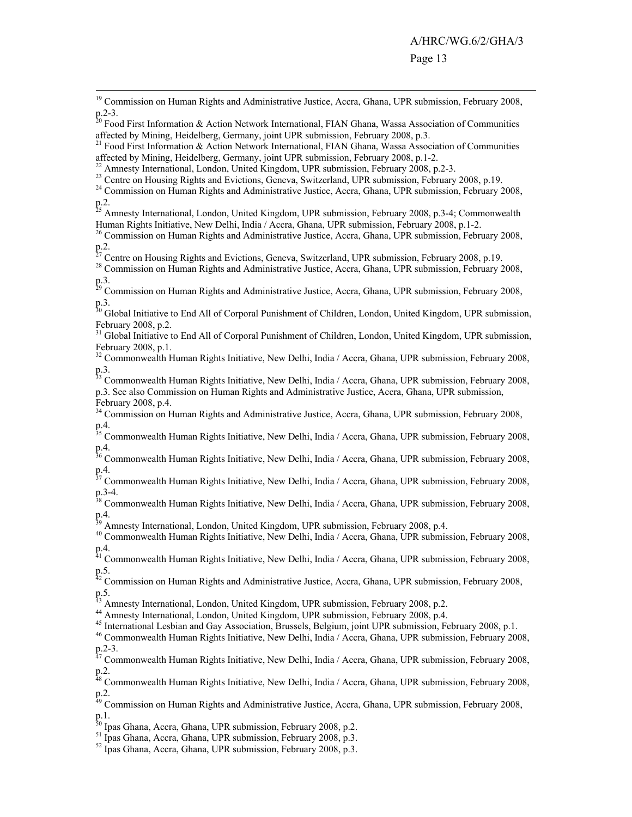<sup>20</sup> Food First Information & Action Network International, FIAN Ghana, Wassa Association of Communities affected by Mining, Heidelberg, Germany, joint UPR submission, February 2008, p.3.

<sup>21</sup> Food First Information & Action Network International, FIAN Ghana, Wassa Association of Communities affected by Mining, Heidelberg, Germany, joint UPR submission, February 2008, p.1-2.

<sup>22</sup> Amnesty International, London, United Kingdom, UPR submission, February 2008, p.2-3.<br><sup>23</sup> Centre on Housing Rights and Evictions, Geneva, Switzerland, UPR submission, February 2008, p.19.

<sup>24</sup> Commission on Human Rights and Administrative Justice, Accra, Ghana, UPR submission, February 2008, p.2.

<sup>25</sup> Amnesty International, London, United Kingdom, UPR submission, February 2008, p.3-4; Commonwealth Human Rights Initiative, New Delhi, India / Accra, Ghana, UPR submission, February 2008, p.1-2.<br><sup>26</sup> Commission on Human Rights and Administrative Justice, Accra, Ghana, UPR submission, February 2008,

p.2.<br><sup>27</sup> Centre on Housing Rights and Evictions, Geneva, Switzerland, UPR submission, February 2008, p.19.

<sup>28</sup> Commission on Human Rights and Administrative Justice, Accra, Ghana, UPR submission, February 2008, p.3.

<sup>29</sup> Commission on Human Rights and Administrative Justice, Accra, Ghana, UPR submission, February 2008, p.3.

<sup>30</sup> Global Initiative to End All of Corporal Punishment of Children, London, United Kingdom, UPR submission, February 2008, p.2.

<sup>31</sup> Global Initiative to End All of Corporal Punishment of Children, London, United Kingdom, UPR submission, February 2008, p.1.

<sup>32</sup> Commonwealth Human Rights Initiative, New Delhi, India / Accra, Ghana, UPR submission, February 2008, p.3.

<sup>33</sup> Commonwealth Human Rights Initiative, New Delhi, India / Accra, Ghana, UPR submission, February 2008, p.3. See also Commission on Human Rights and Administrative Justice, Accra, Ghana, UPR submission, February 2008, p.4.

<sup>34</sup> Commission on Human Rights and Administrative Justice, Accra, Ghana, UPR submission, February 2008, p.4.

<sup>35</sup> Commonwealth Human Rights Initiative, New Delhi, India / Accra, Ghana, UPR submission, February 2008, p.4.

<sup>36</sup> Commonwealth Human Rights Initiative, New Delhi, India / Accra, Ghana, UPR submission, February 2008,  $p.4.$ <sub>37</sub>

37 Commonwealth Human Rights Initiative, New Delhi, India / Accra, Ghana, UPR submission, February 2008, p.3-4.

<sup>38</sup> Commonwealth Human Rights Initiative, New Delhi, India / Accra, Ghana, UPR submission, February 2008,  $p_{0}^{4}$ .

Amnesty International, London, United Kingdom, UPR submission, February 2008, p.4.

40 Commonwealth Human Rights Initiative, New Delhi, India / Accra, Ghana, UPR submission, February 2008, p.4.

<sup>41</sup> Commonwealth Human Rights Initiative, New Delhi, India / Accra, Ghana, UPR submission, February 2008, p.5.

 $42$  Commission on Human Rights and Administrative Justice, Accra, Ghana, UPR submission, February 2008, p.5.

<sup>43</sup> Amnesty International, London, United Kingdom, UPR submission, February 2008, p.2.

44 Amnesty International, London, United Kingdom, UPR submission, February 2008, p.4.

45 International Lesbian and Gay Association, Brussels, Belgium, joint UPR submission, February 2008, p.1.

46 Commonwealth Human Rights Initiative, New Delhi, India / Accra, Ghana, UPR submission, February 2008, p.2-3.

 $^{47}$  Commonwealth Human Rights Initiative, New Delhi, India / Accra, Ghana, UPR submission, February 2008, p.2.

<sup>48</sup> Commonwealth Human Rights Initiative, New Delhi, India / Accra, Ghana, UPR submission, February 2008, p.2.

<sup>49</sup> Commission on Human Rights and Administrative Justice, Accra, Ghana, UPR submission, February 2008, p.1.

<sup>50</sup> Ipas Ghana, Accra, Ghana, UPR submission, February 2008, p.2.

<sup>51</sup> Ipas Ghana, Accra, Ghana, UPR submission, February 2008, p.3.

<sup>52</sup> Ipas Ghana, Accra, Ghana, UPR submission, February 2008, p.3.

<sup>&</sup>lt;sup>19</sup> Commission on Human Rights and Administrative Justice, Accra, Ghana, UPR submission, February 2008, p.2-3.